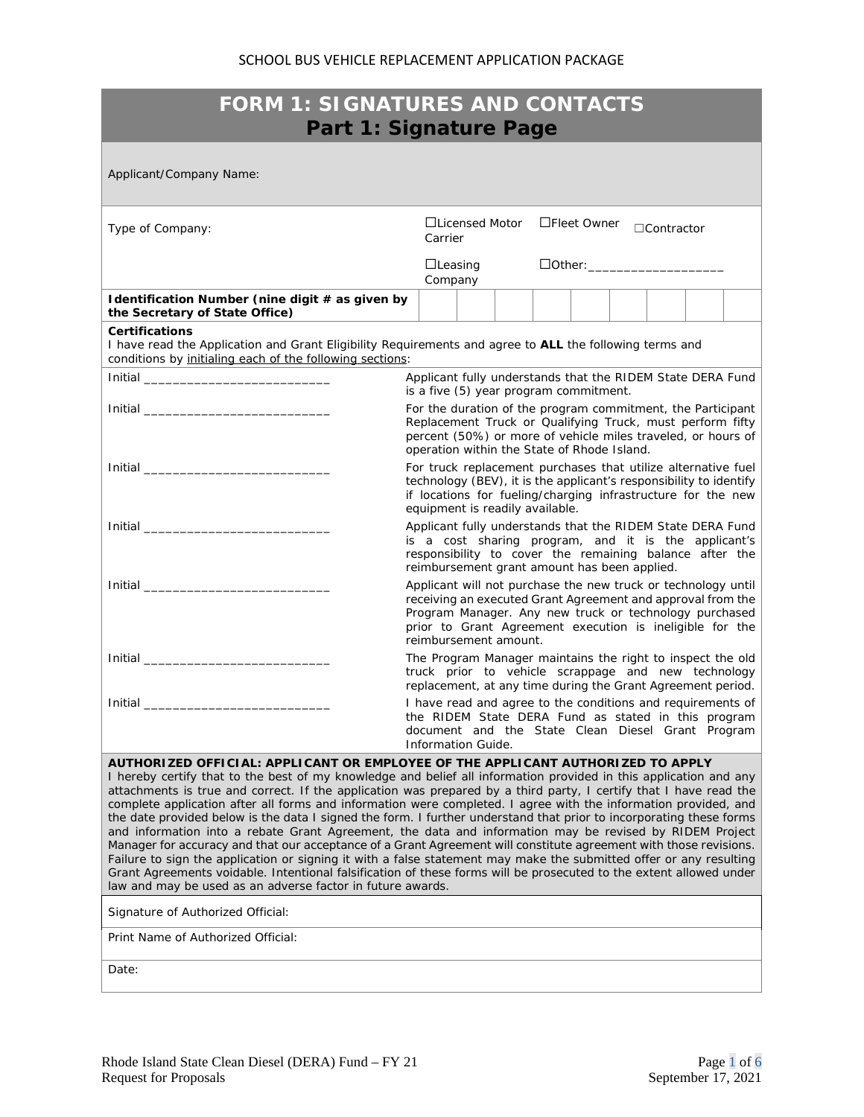## SCHOOL BUS VEHICLE REPLACEMENT APPLICATION PACKAGE

| <b>FORM 1: SIGNATURES AND CONTACTS</b><br>Part 1: Signature Page                                                                                                                                                                                                                                                                                                                                                                                                                                                                                                                                                                                                                                                                                                                                                                                                                                                                                                                                                                                                                                              |                                                                                                                                                                                                                                                                             |  |  |  |  |  |
|---------------------------------------------------------------------------------------------------------------------------------------------------------------------------------------------------------------------------------------------------------------------------------------------------------------------------------------------------------------------------------------------------------------------------------------------------------------------------------------------------------------------------------------------------------------------------------------------------------------------------------------------------------------------------------------------------------------------------------------------------------------------------------------------------------------------------------------------------------------------------------------------------------------------------------------------------------------------------------------------------------------------------------------------------------------------------------------------------------------|-----------------------------------------------------------------------------------------------------------------------------------------------------------------------------------------------------------------------------------------------------------------------------|--|--|--|--|--|
| Applicant/Company Name:                                                                                                                                                                                                                                                                                                                                                                                                                                                                                                                                                                                                                                                                                                                                                                                                                                                                                                                                                                                                                                                                                       |                                                                                                                                                                                                                                                                             |  |  |  |  |  |
| Type of Company:                                                                                                                                                                                                                                                                                                                                                                                                                                                                                                                                                                                                                                                                                                                                                                                                                                                                                                                                                                                                                                                                                              | □Licensed Motor<br>□Fleet Owner<br>$\Box$ Contractor<br>Carrier                                                                                                                                                                                                             |  |  |  |  |  |
|                                                                                                                                                                                                                                                                                                                                                                                                                                                                                                                                                                                                                                                                                                                                                                                                                                                                                                                                                                                                                                                                                                               | $\Box$ Leasing<br>DOther: ________________________<br>Company                                                                                                                                                                                                               |  |  |  |  |  |
| Identification Number (nine digit # as given by<br>the Secretary of State Office)                                                                                                                                                                                                                                                                                                                                                                                                                                                                                                                                                                                                                                                                                                                                                                                                                                                                                                                                                                                                                             |                                                                                                                                                                                                                                                                             |  |  |  |  |  |
| <b>Certifications</b><br>conditions by initialing each of the following sections:                                                                                                                                                                                                                                                                                                                                                                                                                                                                                                                                                                                                                                                                                                                                                                                                                                                                                                                                                                                                                             | I have read the Application and Grant Eligibility Requirements and agree to ALL the following terms and                                                                                                                                                                     |  |  |  |  |  |
|                                                                                                                                                                                                                                                                                                                                                                                                                                                                                                                                                                                                                                                                                                                                                                                                                                                                                                                                                                                                                                                                                                               | Applicant fully understands that the RIDEM State DERA Fund<br>is a five (5) year program commitment.                                                                                                                                                                        |  |  |  |  |  |
|                                                                                                                                                                                                                                                                                                                                                                                                                                                                                                                                                                                                                                                                                                                                                                                                                                                                                                                                                                                                                                                                                                               | For the duration of the program commitment, the Participant<br>Replacement Truck or Qualifying Truck, must perform fifty<br>percent (50%) or more of vehicle miles traveled, or hours of<br>operation within the State of Rhode Island.                                     |  |  |  |  |  |
|                                                                                                                                                                                                                                                                                                                                                                                                                                                                                                                                                                                                                                                                                                                                                                                                                                                                                                                                                                                                                                                                                                               | For truck replacement purchases that utilize alternative fuel<br>technology (BEV), it is the applicant's responsibility to identify<br>if locations for fueling/charging infrastructure for the new                                                                         |  |  |  |  |  |
|                                                                                                                                                                                                                                                                                                                                                                                                                                                                                                                                                                                                                                                                                                                                                                                                                                                                                                                                                                                                                                                                                                               | equipment is readily available.<br>Applicant fully understands that the RIDEM State DERA Fund<br>is a cost sharing program, and it is the applicant's<br>responsibility to cover the remaining balance after the<br>reimbursement grant amount has been applied.            |  |  |  |  |  |
|                                                                                                                                                                                                                                                                                                                                                                                                                                                                                                                                                                                                                                                                                                                                                                                                                                                                                                                                                                                                                                                                                                               | Applicant will not purchase the new truck or technology until<br>receiving an executed Grant Agreement and approval from the<br>Program Manager. Any new truck or technology purchased<br>prior to Grant Agreement execution is ineligible for the<br>reimbursement amount. |  |  |  |  |  |
|                                                                                                                                                                                                                                                                                                                                                                                                                                                                                                                                                                                                                                                                                                                                                                                                                                                                                                                                                                                                                                                                                                               | The Program Manager maintains the right to inspect the old<br>truck prior to vehicle scrappage and new technology<br>replacement, at any time during the Grant Agreement period.                                                                                            |  |  |  |  |  |
|                                                                                                                                                                                                                                                                                                                                                                                                                                                                                                                                                                                                                                                                                                                                                                                                                                                                                                                                                                                                                                                                                                               | I have read and agree to the conditions and requirements of<br>the RIDEM State DERA Fund as stated in this program<br>document and the State Clean Diesel Grant Program<br>Information Guide.                                                                               |  |  |  |  |  |
| AUTHORIZED OFFICIAL: APPLICANT OR EMPLOYEE OF THE APPLICANT AUTHORIZED TO APPLY<br>I hereby certify that to the best of my knowledge and belief all information provided in this application and any<br>attachments is true and correct. If the application was prepared by a third party, I certify that I have read the<br>complete application after all forms and information were completed. I agree with the information provided, and<br>the date provided below is the data I signed the form. I further understand that prior to incorporating these forms<br>and information into a rebate Grant Agreement, the data and information may be revised by RIDEM Project<br>Manager for accuracy and that our acceptance of a Grant Agreement will constitute agreement with those revisions.<br>Failure to sign the application or signing it with a false statement may make the submitted offer or any resulting<br>Grant Agreements voidable. Intentional falsification of these forms will be prosecuted to the extent allowed under<br>law and may be used as an adverse factor in future awards. |                                                                                                                                                                                                                                                                             |  |  |  |  |  |
| Signature of Authorized Official:<br>Print Name of Authorized Official:                                                                                                                                                                                                                                                                                                                                                                                                                                                                                                                                                                                                                                                                                                                                                                                                                                                                                                                                                                                                                                       |                                                                                                                                                                                                                                                                             |  |  |  |  |  |
| Date:                                                                                                                                                                                                                                                                                                                                                                                                                                                                                                                                                                                                                                                                                                                                                                                                                                                                                                                                                                                                                                                                                                         |                                                                                                                                                                                                                                                                             |  |  |  |  |  |
|                                                                                                                                                                                                                                                                                                                                                                                                                                                                                                                                                                                                                                                                                                                                                                                                                                                                                                                                                                                                                                                                                                               |                                                                                                                                                                                                                                                                             |  |  |  |  |  |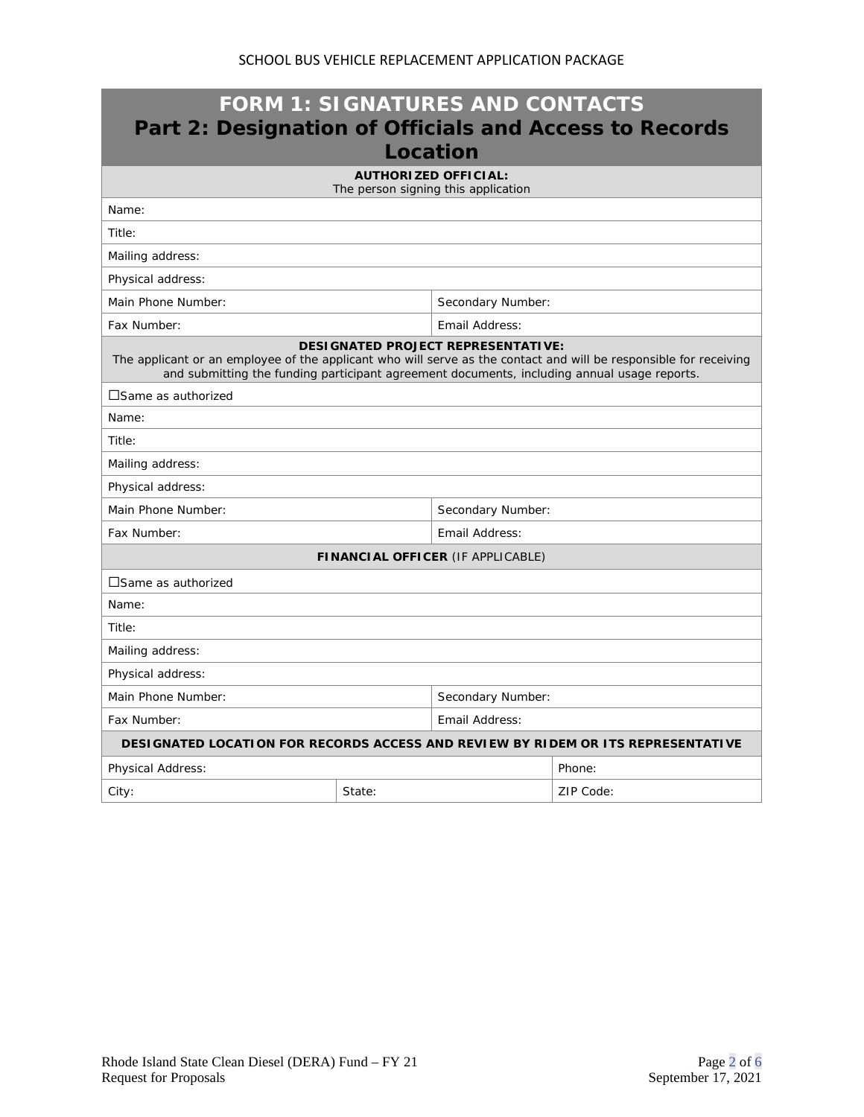| <b>FORM 1: SIGNATURES AND CONTACTS</b><br>Part 2: Designation of Officials and Access to Records<br>Location                                                                                                                                                  |                |                                                                    |           |  |  |
|---------------------------------------------------------------------------------------------------------------------------------------------------------------------------------------------------------------------------------------------------------------|----------------|--------------------------------------------------------------------|-----------|--|--|
|                                                                                                                                                                                                                                                               |                | <b>AUTHORIZED OFFICIAL:</b><br>The person signing this application |           |  |  |
| Name:                                                                                                                                                                                                                                                         |                |                                                                    |           |  |  |
| Title:                                                                                                                                                                                                                                                        |                |                                                                    |           |  |  |
| Mailing address:                                                                                                                                                                                                                                              |                |                                                                    |           |  |  |
| Physical address:                                                                                                                                                                                                                                             |                |                                                                    |           |  |  |
| Main Phone Number:                                                                                                                                                                                                                                            |                | Secondary Number:                                                  |           |  |  |
| Fax Number:                                                                                                                                                                                                                                                   | Email Address: |                                                                    |           |  |  |
| <b>DESIGNATED PROJECT REPRESENTATIVE:</b><br>The applicant or an employee of the applicant who will serve as the contact and will be responsible for receiving<br>and submitting the funding participant agreement documents, including annual usage reports. |                |                                                                    |           |  |  |
| □Same as authorized                                                                                                                                                                                                                                           |                |                                                                    |           |  |  |
| Name:                                                                                                                                                                                                                                                         |                |                                                                    |           |  |  |
| Title:                                                                                                                                                                                                                                                        |                |                                                                    |           |  |  |
| Mailing address:                                                                                                                                                                                                                                              |                |                                                                    |           |  |  |
| Physical address:                                                                                                                                                                                                                                             |                |                                                                    |           |  |  |
| Main Phone Number:                                                                                                                                                                                                                                            |                | Secondary Number:                                                  |           |  |  |
| Fax Number:                                                                                                                                                                                                                                                   |                | Email Address:                                                     |           |  |  |
| FINANCIAL OFFICER (IF APPLICABLE)                                                                                                                                                                                                                             |                |                                                                    |           |  |  |
| $\square$ Same as authorized                                                                                                                                                                                                                                  |                |                                                                    |           |  |  |
| Name:                                                                                                                                                                                                                                                         |                |                                                                    |           |  |  |
| Title:                                                                                                                                                                                                                                                        |                |                                                                    |           |  |  |
| Mailing address:                                                                                                                                                                                                                                              |                |                                                                    |           |  |  |
| Physical address:                                                                                                                                                                                                                                             |                |                                                                    |           |  |  |
| Main Phone Number:                                                                                                                                                                                                                                            |                | Secondary Number:                                                  |           |  |  |
| Fax Number:                                                                                                                                                                                                                                                   |                | Email Address:                                                     |           |  |  |
| DESIGNATED LOCATION FOR RECORDS ACCESS AND REVIEW BY RIDEM OR ITS REPRESENTATIVE                                                                                                                                                                              |                |                                                                    |           |  |  |
| Physical Address:                                                                                                                                                                                                                                             |                |                                                                    | Phone:    |  |  |
| City:                                                                                                                                                                                                                                                         | State:         |                                                                    | ZIP Code: |  |  |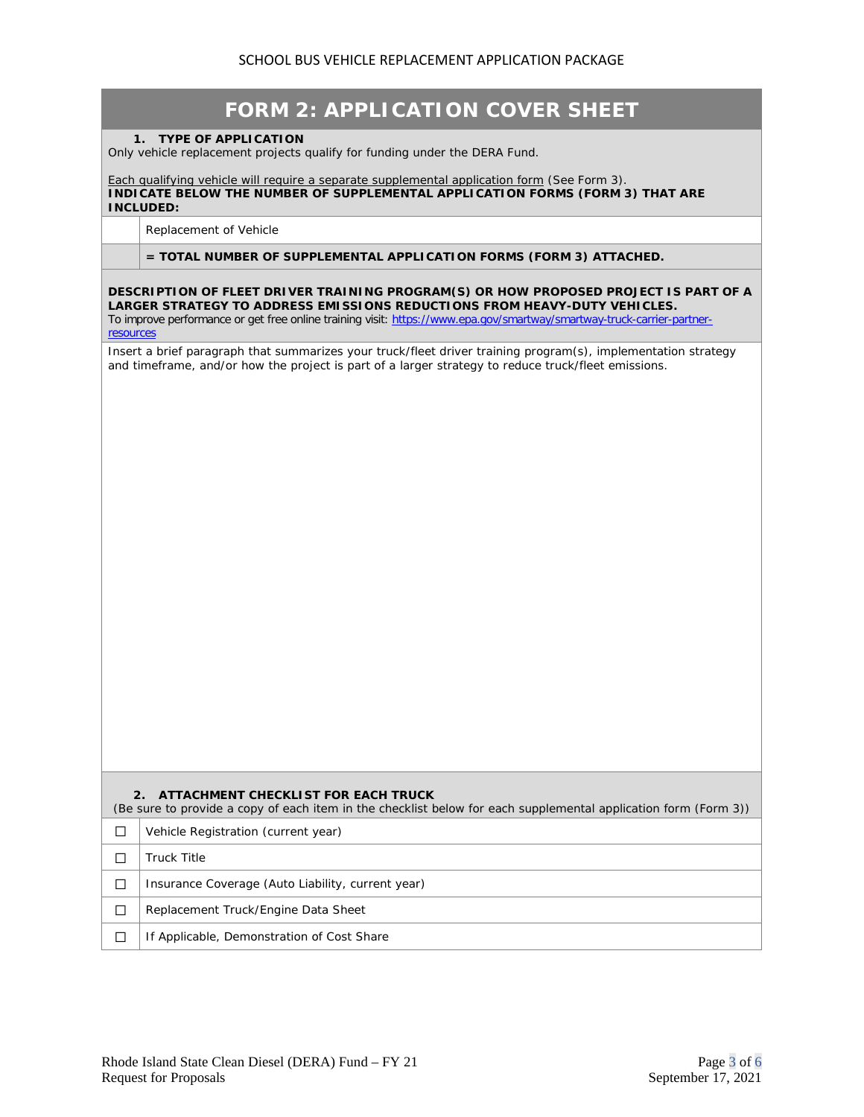| <b>FORM 2: APPLICATION COVER SHEET</b>                                                                                                                                                                                                                                                                   |
|----------------------------------------------------------------------------------------------------------------------------------------------------------------------------------------------------------------------------------------------------------------------------------------------------------|
| <b>TYPE OF APPLICATION</b><br>$1_{-}$<br>Only vehicle replacement projects qualify for funding under the DERA Fund.                                                                                                                                                                                      |
|                                                                                                                                                                                                                                                                                                          |
| Each qualifying vehicle will require a separate supplemental application form (See Form 3).<br>INDICATE BELOW THE NUMBER OF SUPPLEMENTAL APPLICATION FORMS (FORM 3) THAT ARE<br><b>INCLUDED:</b>                                                                                                         |
| Replacement of Vehicle                                                                                                                                                                                                                                                                                   |
| $=$ TOTAL NUMBER OF SUPPLEMENTAL APPLICATION FORMS (FORM 3) ATTACHED.                                                                                                                                                                                                                                    |
| DESCRIPTION OF FLEET DRIVER TRAINING PROGRAM(S) OR HOW PROPOSED PROJECT IS PART OF A<br>LARGER STRATEGY TO ADDRESS EMISSIONS REDUCTIONS FROM HEAVY-DUTY VEHICLES.<br>To improve performance or get free online training visit: https://www.epa.gov/smartway/smartway-truck-carrier-partner-<br>resources |
| Insert a brief paragraph that summarizes your truck/fleet driver training program(s), implementation strategy<br>and timeframe, and/or how the project is part of a larger strategy to reduce truck/fleet emissions.                                                                                     |
|                                                                                                                                                                                                                                                                                                          |
|                                                                                                                                                                                                                                                                                                          |
|                                                                                                                                                                                                                                                                                                          |
|                                                                                                                                                                                                                                                                                                          |
|                                                                                                                                                                                                                                                                                                          |
|                                                                                                                                                                                                                                                                                                          |
|                                                                                                                                                                                                                                                                                                          |
|                                                                                                                                                                                                                                                                                                          |
|                                                                                                                                                                                                                                                                                                          |
|                                                                                                                                                                                                                                                                                                          |
|                                                                                                                                                                                                                                                                                                          |
|                                                                                                                                                                                                                                                                                                          |
|                                                                                                                                                                                                                                                                                                          |
|                                                                                                                                                                                                                                                                                                          |
|                                                                                                                                                                                                                                                                                                          |
| 2.<br>ATTACHMENT CHECKLIST FOR EACH TRUCK<br>(Be sure to provide a copy of each item in the checklist below for each supplemental application form (Form 3))                                                                                                                                             |
| Vehicle Registration (current year)<br>□                                                                                                                                                                                                                                                                 |
| <b>Truck Title</b><br>□                                                                                                                                                                                                                                                                                  |
| Insurance Coverage (Auto Liability, current year)<br>П                                                                                                                                                                                                                                                   |
| Replacement Truck/Engine Data Sheet<br>□                                                                                                                                                                                                                                                                 |
| If Applicable, Demonstration of Cost Share<br>□                                                                                                                                                                                                                                                          |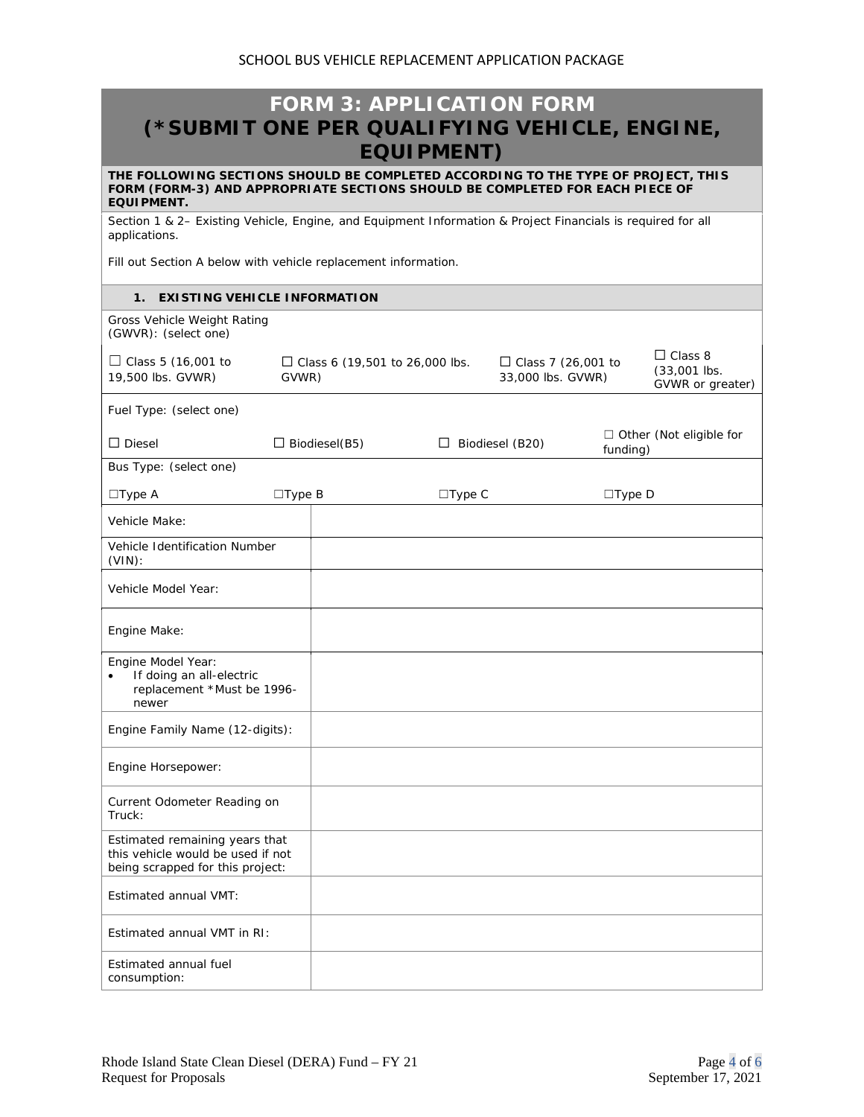## **FORM 3: APPLICATION FORM (\*SUBMIT ONE PER QUALIFYING VEHICLE, ENGINE, EQUIPMENT)**

**THE FOLLOWING SECTIONS SHOULD BE COMPLETED ACCORDING TO THE TYPE OF PROJECT, THIS FORM (FORM-3) AND APPROPRIATE SECTIONS SHOULD BE COMPLETED FOR EACH PIECE OF EQUIPMENT.**

Section 1 & 2– Existing Vehicle, Engine, and Equipment Information & Project Financials is required for all applications.

Fill out Section A below with vehicle replacement information.

## **1. EXISTING VEHICLE INFORMATION**

| Gross Vehicle Weight Rating<br>(GWVR): (select one)                                                     |                  |                                  |                  |                                                |               |                                                      |
|---------------------------------------------------------------------------------------------------------|------------------|----------------------------------|------------------|------------------------------------------------|---------------|------------------------------------------------------|
| $\Box$ Class 5 (16,001 to<br>19,500 lbs. GVWR)                                                          | GVWR)            | □ Class 6 (19,501 to 26,000 lbs. |                  | $\Box$ Class 7 (26,001 to<br>33,000 lbs. GVWR) |               | $\Box$ Class 8<br>$(33,001$ lbs.<br>GVWR or greater) |
| Fuel Type: (select one)                                                                                 |                  |                                  |                  |                                                |               |                                                      |
| $\Box$ Diesel                                                                                           |                  | $\Box$ Biodiesel(B5)             |                  | $\Box$ Biodiesel (B20)                         | funding)      | $\Box$ Other (Not eligible for                       |
| Bus Type: (select one)                                                                                  |                  |                                  |                  |                                                |               |                                                      |
| $\Box$ Type A                                                                                           | $\square$ Type B |                                  | $\square$ Type C |                                                | $\Box$ Type D |                                                      |
| Vehicle Make:                                                                                           |                  |                                  |                  |                                                |               |                                                      |
| Vehicle Identification Number<br>$(VIN)$ :                                                              |                  |                                  |                  |                                                |               |                                                      |
| Vehicle Model Year:                                                                                     |                  |                                  |                  |                                                |               |                                                      |
| Engine Make:                                                                                            |                  |                                  |                  |                                                |               |                                                      |
| Engine Model Year:<br>If doing an all-electric<br>$\bullet$<br>replacement *Must be 1996-<br>newer      |                  |                                  |                  |                                                |               |                                                      |
| Engine Family Name (12-digits):                                                                         |                  |                                  |                  |                                                |               |                                                      |
| Engine Horsepower:                                                                                      |                  |                                  |                  |                                                |               |                                                      |
| Current Odometer Reading on<br>Truck:                                                                   |                  |                                  |                  |                                                |               |                                                      |
| Estimated remaining years that<br>this vehicle would be used if not<br>being scrapped for this project: |                  |                                  |                  |                                                |               |                                                      |
| Estimated annual VMT:                                                                                   |                  |                                  |                  |                                                |               |                                                      |
| Estimated annual VMT in RI:                                                                             |                  |                                  |                  |                                                |               |                                                      |
| Estimated annual fuel<br>consumption:                                                                   |                  |                                  |                  |                                                |               |                                                      |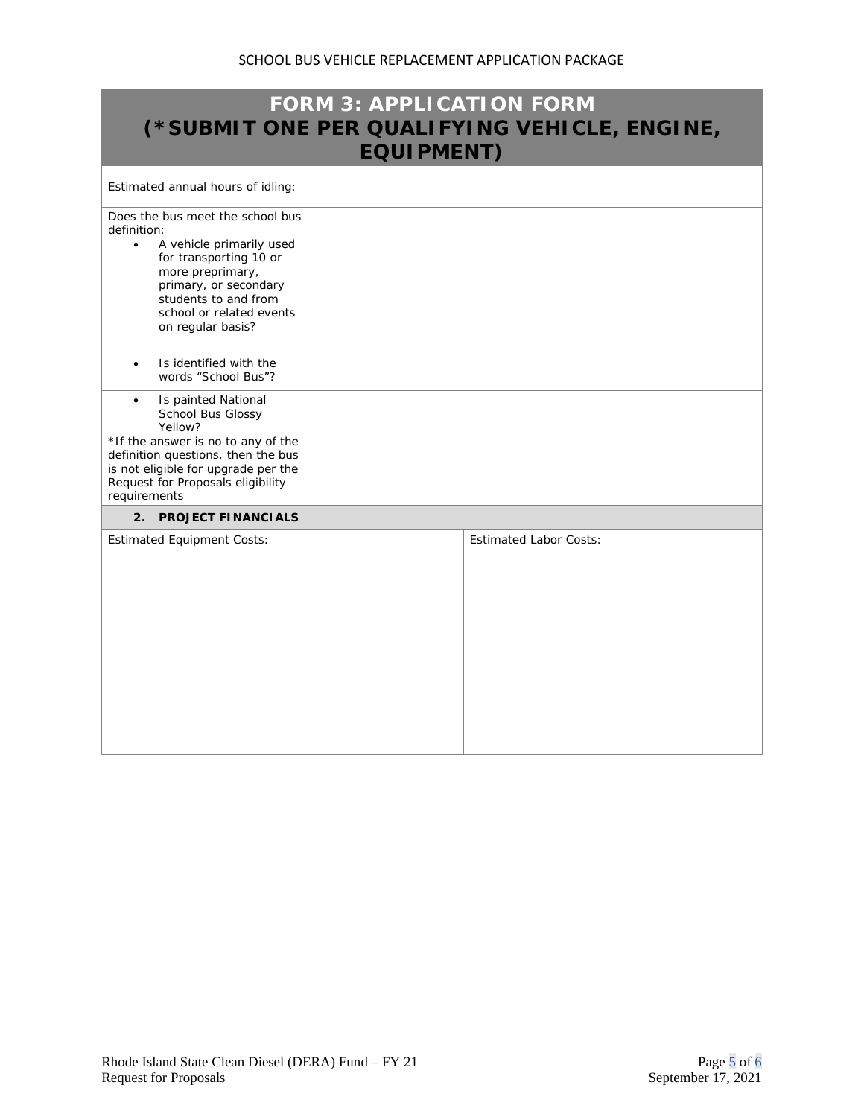| <b>FORM 3: APPLICATION FORM</b><br>(*SUBMIT ONE PER QUALIFYING VEHICLE, ENGINE,<br><b>EQUIPMENT)</b>                                                                                                                                     |                               |  |  |  |  |
|------------------------------------------------------------------------------------------------------------------------------------------------------------------------------------------------------------------------------------------|-------------------------------|--|--|--|--|
| Estimated annual hours of idling:                                                                                                                                                                                                        |                               |  |  |  |  |
| Does the bus meet the school bus<br>definition:<br>A vehicle primarily used<br>$\bullet$<br>for transporting 10 or<br>more preprimary,<br>primary, or secondary<br>students to and from<br>school or related events<br>on regular basis? |                               |  |  |  |  |
| Is identified with the<br>words "School Bus"?                                                                                                                                                                                            |                               |  |  |  |  |
| Is painted National<br>$\bullet$<br>School Bus Glossy<br>Yellow?<br>*If the answer is no to any of the<br>definition questions, then the bus<br>is not eligible for upgrade per the<br>Request for Proposals eligibility<br>requirements |                               |  |  |  |  |
| 2. PROJECT FINANCIALS                                                                                                                                                                                                                    |                               |  |  |  |  |
| <b>Estimated Equipment Costs:</b>                                                                                                                                                                                                        | <b>Estimated Labor Costs:</b> |  |  |  |  |